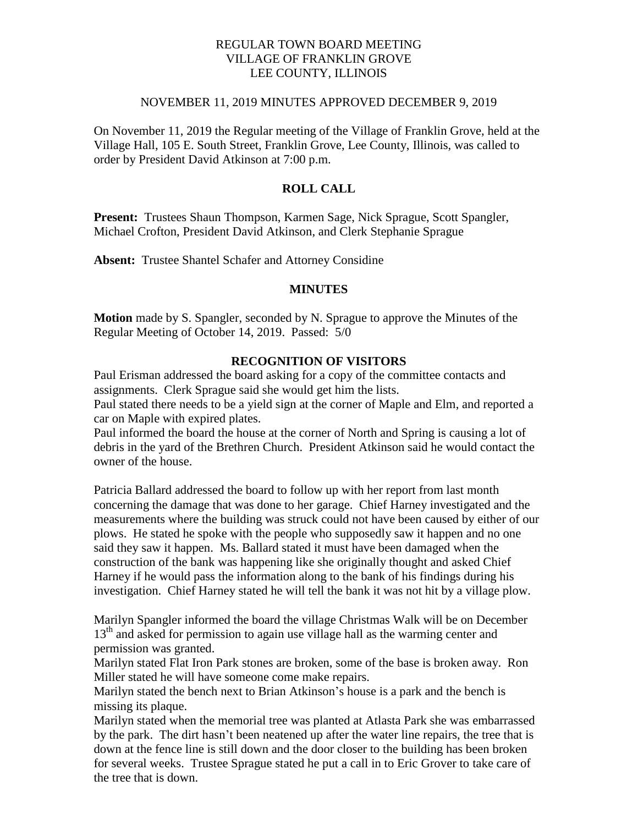## REGULAR TOWN BOARD MEETING VILLAGE OF FRANKLIN GROVE LEE COUNTY, ILLINOIS

#### NOVEMBER 11, 2019 MINUTES APPROVED DECEMBER 9, 2019

On November 11, 2019 the Regular meeting of the Village of Franklin Grove, held at the Village Hall, 105 E. South Street, Franklin Grove, Lee County, Illinois, was called to order by President David Atkinson at 7:00 p.m.

# **ROLL CALL**

**Present:** Trustees Shaun Thompson, Karmen Sage, Nick Sprague, Scott Spangler, Michael Crofton, President David Atkinson, and Clerk Stephanie Sprague

**Absent:** Trustee Shantel Schafer and Attorney Considine

#### **MINUTES**

**Motion** made by S. Spangler, seconded by N. Sprague to approve the Minutes of the Regular Meeting of October 14, 2019. Passed: 5/0

# **RECOGNITION OF VISITORS**

Paul Erisman addressed the board asking for a copy of the committee contacts and assignments. Clerk Sprague said she would get him the lists.

Paul stated there needs to be a yield sign at the corner of Maple and Elm, and reported a car on Maple with expired plates.

Paul informed the board the house at the corner of North and Spring is causing a lot of debris in the yard of the Brethren Church. President Atkinson said he would contact the owner of the house.

Patricia Ballard addressed the board to follow up with her report from last month concerning the damage that was done to her garage. Chief Harney investigated and the measurements where the building was struck could not have been caused by either of our plows. He stated he spoke with the people who supposedly saw it happen and no one said they saw it happen. Ms. Ballard stated it must have been damaged when the construction of the bank was happening like she originally thought and asked Chief Harney if he would pass the information along to the bank of his findings during his investigation. Chief Harney stated he will tell the bank it was not hit by a village plow.

Marilyn Spangler informed the board the village Christmas Walk will be on December 13<sup>th</sup> and asked for permission to again use village hall as the warming center and permission was granted.

Marilyn stated Flat Iron Park stones are broken, some of the base is broken away. Ron Miller stated he will have someone come make repairs.

Marilyn stated the bench next to Brian Atkinson's house is a park and the bench is missing its plaque.

Marilyn stated when the memorial tree was planted at Atlasta Park she was embarrassed by the park. The dirt hasn't been neatened up after the water line repairs, the tree that is down at the fence line is still down and the door closer to the building has been broken for several weeks. Trustee Sprague stated he put a call in to Eric Grover to take care of the tree that is down.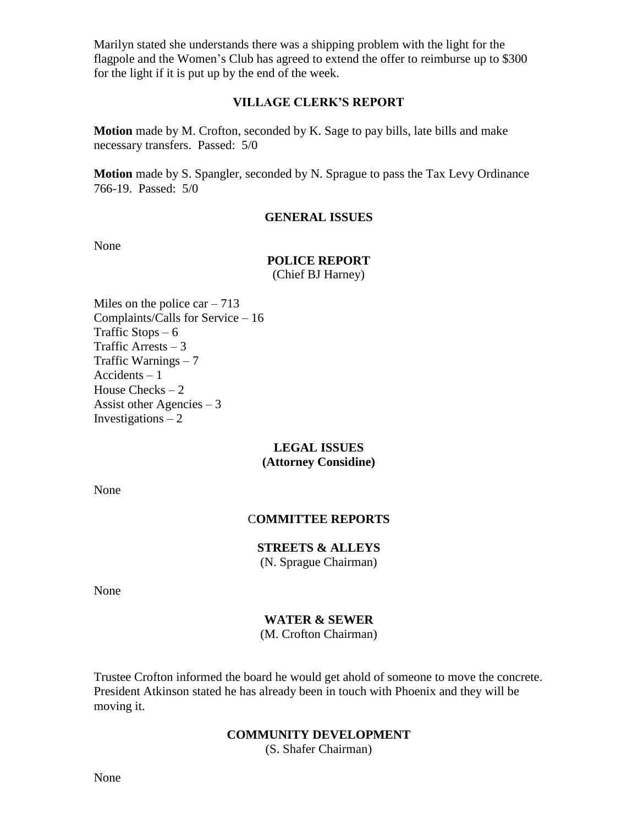Marilyn stated she understands there was a shipping problem with the light for the flagpole and the Women's Club has agreed to extend the offer to reimburse up to \$300 for the light if it is put up by the end of the week.

## **VILLAGE CLERK'S REPORT**

**Motion** made by M. Crofton, seconded by K. Sage to pay bills, late bills and make necessary transfers. Passed: 5/0

**Motion** made by S. Spangler, seconded by N. Sprague to pass the Tax Levy Ordinance 766-19. Passed: 5/0

#### **GENERAL ISSUES**

None

# **POLICE REPORT**

(Chief BJ Harney)

Miles on the police car  $-713$ Complaints/Calls for Service – 16 Traffic Stops  $-6$ Traffic Arrests  $-3$ Traffic Warnings – 7 Accidents – 1 House Checks – 2 Assist other Agencies – 3 Investigations  $-2$ 

## **LEGAL ISSUES (Attorney Considine)**

None

## C**OMMITTEE REPORTS**

## **STREETS & ALLEYS**

(N. Sprague Chairman)

None

## **WATER & SEWER**

(M. Crofton Chairman)

Trustee Crofton informed the board he would get ahold of someone to move the concrete. President Atkinson stated he has already been in touch with Phoenix and they will be moving it.

#### **COMMUNITY DEVELOPMENT**

(S. Shafer Chairman)